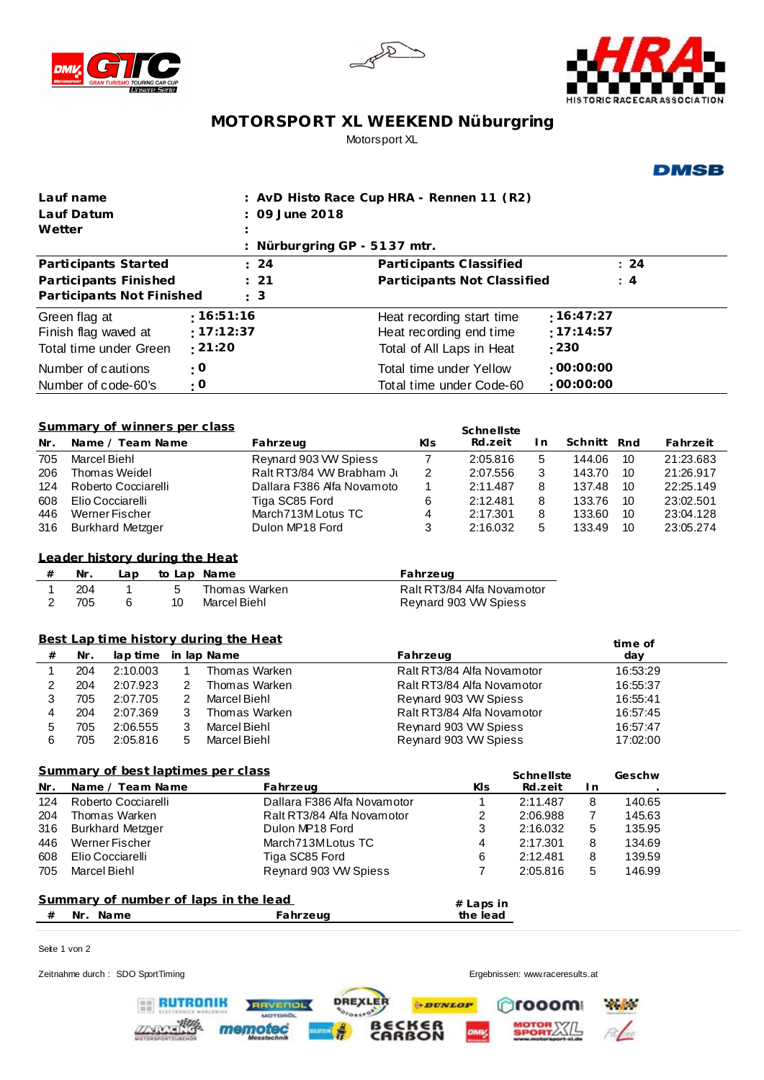





## **MOTORSPORT XL WEEKEND Nüburgring** Motorsport XL

## **DMSB**

| Lauf name                                                  |                                                                                     |                                         |  |             | : AvD Histo Race Cup HRA - Rennen 11 (R2)    |                             |                                                     |                          |                                 |                      |         |                      |                  |                        |  |
|------------------------------------------------------------|-------------------------------------------------------------------------------------|-----------------------------------------|--|-------------|----------------------------------------------|-----------------------------|-----------------------------------------------------|--------------------------|---------------------------------|----------------------|---------|----------------------|------------------|------------------------|--|
| Lauf Datum<br>Wetter                                       |                                                                                     |                                         |  |             | 09 June 2018                                 |                             |                                                     |                          |                                 |                      |         |                      |                  |                        |  |
|                                                            |                                                                                     |                                         |  |             | Nürburgring GP - 5137 mtr.                   |                             |                                                     |                          |                                 |                      |         |                      |                  |                        |  |
|                                                            |                                                                                     | Participants Started                    |  |             | 24                                           | Participants Classified     |                                                     |                          |                                 |                      |         |                      | : 24             |                        |  |
| Participants Finished                                      |                                                                                     |                                         |  |             | 21                                           | Participants Not Classified |                                                     |                          |                                 |                      |         |                      | : 4              |                        |  |
|                                                            |                                                                                     | Participants Not Finished               |  |             | : 3                                          |                             |                                                     |                          |                                 |                      |         |                      |                  |                        |  |
| :16:51:16<br>Green flag at                                 |                                                                                     |                                         |  |             |                                              |                             |                                                     |                          | Heat recording start time       |                      |         | :16:47:27            |                  |                        |  |
| Finish flag waved at                                       |                                                                                     |                                         |  | :17:12:37   |                                              |                             | Heat recording end time                             |                          |                                 |                      |         | :17:14:57            |                  |                        |  |
| Total time under Green                                     |                                                                                     |                                         |  | :21:20      |                                              | Total of All Laps in Heat   |                                                     |                          |                                 |                      | : 230   |                      |                  |                        |  |
| $\cdot$ O<br>Number of cautions                            |                                                                                     |                                         |  |             |                                              |                             |                                                     | Total time under Yellow  |                                 |                      |         | :00:00:00            |                  |                        |  |
| Number of code-60's                                        |                                                                                     |                                         |  | $\cdot$ O   |                                              |                             |                                                     | Total time under Code-60 |                                 |                      |         | :00:00:00            |                  |                        |  |
|                                                            |                                                                                     |                                         |  |             |                                              |                             |                                                     |                          |                                 |                      |         |                      |                  |                        |  |
| Summary of winners per class<br>Schnellste                 |                                                                                     |                                         |  |             |                                              |                             |                                                     |                          |                                 |                      |         |                      |                  |                        |  |
| Nr.                                                        |                                                                                     | Name / Team Name                        |  |             | Fahrzeug                                     |                             |                                                     | KIs                      | Rd.zeit                         | I n                  |         | Schnitt              | Rnd              | Fahrzeit               |  |
| 705                                                        | <b>Marcel Biehl</b>                                                                 |                                         |  |             | Reynard 903 VW Spiess                        |                             |                                                     | $\overline{7}$           | 2:05.816                        | 5                    |         | 144.06               | 10               | 21:23.683              |  |
| 206                                                        |                                                                                     | Thomas Weidel                           |  |             | Ralt RT3/84 VW Brabham Ju                    |                             |                                                     | 2                        | 2:07.556                        | 3                    |         | 143.70               | 10               | 21:26.917              |  |
| 124<br>608                                                 |                                                                                     | Roberto Cocciarelli<br>Elio Cocciarelli |  |             | Dallara F386 Alfa Novamoto<br>Tiga SC85 Ford |                             |                                                     | 1<br>6                   | 2:11.487<br>2:12.481            | 8<br>8               |         | 137.48<br>133.76     | 10<br>10         | 22:25.149<br>23:02.501 |  |
| 446                                                        |                                                                                     | Werner Fischer                          |  |             | March713M Lotus TC                           |                             |                                                     | 4                        | 2:17.301                        | 8                    |         | 133.60               | 10               | 23:04.128              |  |
| 316                                                        |                                                                                     | <b>Burkhard Metzger</b>                 |  |             | Dulon MP18 Ford                              |                             |                                                     | 3                        | 2:16.032                        | 5                    |         | 133.49               | 10               | 23:05.274              |  |
|                                                            |                                                                                     |                                         |  |             |                                              |                             |                                                     |                          |                                 |                      |         |                      |                  |                        |  |
|                                                            |                                                                                     | Leader history during the Heat          |  |             |                                              |                             |                                                     |                          |                                 |                      |         |                      |                  |                        |  |
| $\#$                                                       | Nr.                                                                                 | Lap                                     |  | to Lap Name |                                              |                             |                                                     | Fahrzeug                 |                                 |                      |         |                      |                  |                        |  |
| 1<br>$\overline{2}$                                        | $\mathbf{1}$<br>5<br>204<br>Thomas Warken<br>705<br>6<br>10<br>Marcel Biehl         |                                         |  |             |                                              |                             | Ralt RT3/84 Alfa Novamotor<br>Reynard 903 VW Spiess |                          |                                 |                      |         |                      |                  |                        |  |
|                                                            |                                                                                     |                                         |  |             |                                              |                             |                                                     |                          |                                 |                      |         |                      |                  |                        |  |
| Best Lap time history during the Heat                      |                                                                                     |                                         |  |             |                                              |                             |                                                     |                          |                                 |                      |         |                      |                  |                        |  |
| $\#$                                                       | Nr.<br>lap time<br>in lap Name                                                      |                                         |  |             |                                              |                             |                                                     | Fahrzeug                 |                                 |                      |         | time of<br>day       |                  |                        |  |
| 1                                                          | Thomas Warken<br>204<br>2:10.003<br>$\mathbf{1}$                                    |                                         |  |             |                                              | Ralt RT3/84 Alfa Novamotor  |                                                     |                          |                                 |                      |         | 16:53:29             |                  |                        |  |
| $\overline{\mathbf{c}}$                                    | 204<br>2:07.923<br>2<br>Thomas Warken                                               |                                         |  |             |                                              | Ralt RT3/84 Alfa Novamotor  |                                                     |                          |                                 |                      |         | 16:55:37             |                  |                        |  |
| 3                                                          | 705<br>2:07.705<br>2<br><b>Marcel Biehl</b>                                         |                                         |  |             |                                              | Reynard 903 VW Spiess       |                                                     |                          |                                 |                      |         | 16:55:41             |                  |                        |  |
| 4                                                          | 3<br>204<br>2:07.369<br>Thomas Warken                                               |                                         |  |             |                                              |                             | Ralt RT3/84 Alfa Novamotor                          |                          |                                 |                      |         | 16:57:45<br>16:57:47 |                  |                        |  |
| 5<br>6                                                     | 3<br>Marcel Biehl<br>705<br>2:06.555<br>705<br>2:05.816<br>5<br><b>Marcel Biehl</b> |                                         |  |             |                                              |                             | Reynard 903 VW Spiess<br>Reynard 903 VW Spiess      |                          |                                 |                      |         | 17:02:00             |                  |                        |  |
|                                                            |                                                                                     |                                         |  |             |                                              |                             |                                                     |                          |                                 |                      |         |                      |                  |                        |  |
| Summary of best laptimes per class<br>Schnellste<br>Geschw |                                                                                     |                                         |  |             |                                              |                             |                                                     |                          |                                 |                      |         |                      |                  |                        |  |
| Nr.                                                        |                                                                                     | Name / Team Name                        |  |             | Fahrzeug                                     |                             |                                                     | KIs                      |                                 |                      | Rd.zeit | I n                  |                  |                        |  |
| 124                                                        |                                                                                     | Roberto Cocciarelli                     |  |             | Dallara F386 Alfa Novamotor                  |                             |                                                     |                          | 1                               | 2:11.487             |         | $\bf 8$              | 140.65           |                        |  |
| 204                                                        |                                                                                     | Thomas Warken                           |  |             | Ralt RT3/84 Alfa Novamotor                   |                             |                                                     |                          | 2                               | 2:06.988             |         | 7                    | 145.63           |                        |  |
| 316                                                        | <b>Burkhard Metzger</b><br>Dulon MP18 Ford<br>Werner Fischer<br>March713MLotus TC   |                                         |  |             |                                              |                             |                                                     |                          | 3                               | 2:16.032             |         | 5                    | 135.95           |                        |  |
| 446<br>608                                                 | Elio Cocciarelli<br>Tiga SC85 Ford                                                  |                                         |  |             |                                              |                             |                                                     |                          | 4<br>6                          | 2:17.301<br>2:12.481 |         | 8<br>8               | 134.69<br>139.59 |                        |  |
| 705                                                        | Marcel Biehl                                                                        |                                         |  |             | Reynard 903 VW Spiess                        |                             |                                                     |                          | 7                               | 2:05.816             |         | 5                    | 146.99           |                        |  |
|                                                            |                                                                                     |                                         |  |             |                                              |                             |                                                     |                          |                                 |                      |         |                      |                  |                        |  |
|                                                            |                                                                                     | Summary of number of laps in the lead   |  |             |                                              |                             |                                                     | # Laps in                |                                 |                      |         |                      |                  |                        |  |
| Nr. Name<br>$^{\#}$                                        |                                                                                     |                                         |  |             | Fahrzeug                                     |                             |                                                     | the lead                 |                                 |                      |         |                      |                  |                        |  |
|                                                            |                                                                                     |                                         |  |             |                                              |                             |                                                     |                          |                                 |                      |         |                      |                  |                        |  |
| Seite 1 von 2                                              |                                                                                     |                                         |  |             |                                              |                             |                                                     |                          |                                 |                      |         |                      |                  |                        |  |
|                                                            |                                                                                     | Zeitnahme durch: SDO SportTiming        |  |             |                                              |                             |                                                     |                          | Ergebnissen: www.raceresults.at |                      |         |                      |                  |                        |  |

DREXLER

 $\lim_{n\to\infty}$ 

 $\oplus$ DUNLOP

**BECKER** 

RAVENOL

memotec

Crooom W

**MOTOR XXIL** 

File

**RUTRONIK** 

**ZNPOSITO**